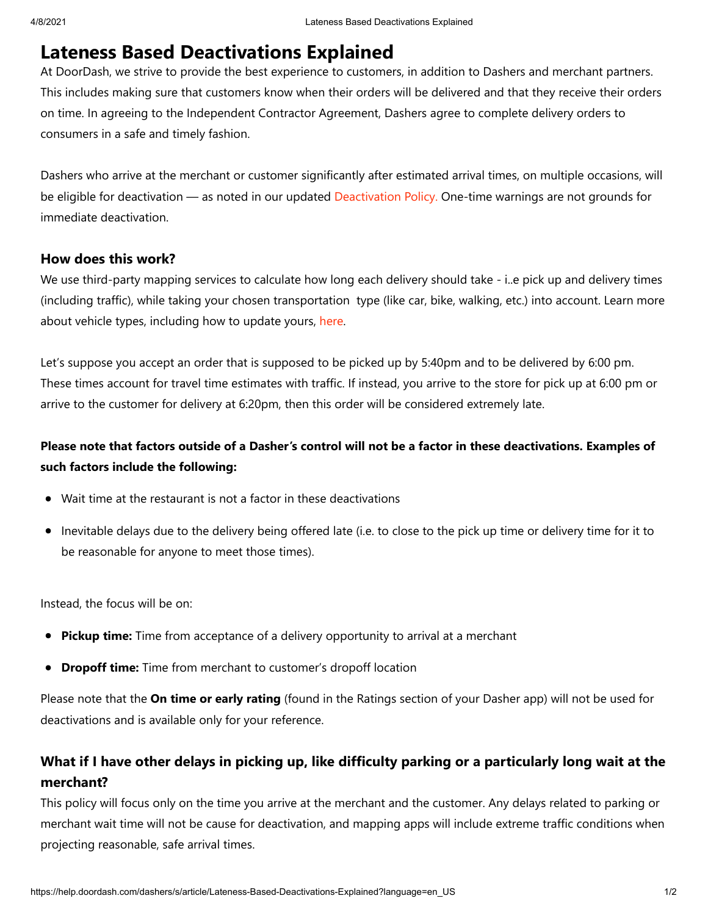# **Lateness Based Deactivations Explained**

At DoorDash, we strive to provide the best experience to customers, in addition to Dashers and merchant partners. This includes making sure that customers know when their orders will be delivered and that they receive their orders on time. In agreeing to the Independent Contractor Agreement, Dashers agree to complete delivery orders to consumers in a safe and timely fashion.

Dashers who arrive at the merchant or customer significantly after estimated arrival times, on multiple occasions, will be eligible for deactivation — as noted in our updated [Deactivation Policy.](https://help.doordash.com/dashers/s/deactivation-policy-us?language=en_US) One-time warnings are not grounds for immediate deactivation.

### **How does this work?**

We use third-party mapping services to calculate how long each delivery should take - i..e pick up and delivery times (including traffic), while taking your chosen transportation type (like car, bike, walking, etc.) into account. Learn more about vehicle types, including how to update yours, [here.](https://help.doordash.com/dashers/s/article/Switching-Dash-Types?language=en_US)

Let's suppose you accept an order that is supposed to be picked up by 5:40pm and to be delivered by 6:00 pm. These times account for travel time estimates with traffic. If instead, you arrive to the store for pick up at 6:00 pm or arrive to the customer for delivery at 6:20pm, then this order will be considered extremely late.

## **Please note that factors outside of a Dasher's control will not be a factor in these deactivations. Examples of such factors include the following:**

- Wait time at the restaurant is not a factor in these deactivations
- Inevitable delays due to the delivery being offered late (i.e. to close to the pick up time or delivery time for it to be reasonable for anyone to meet those times).

Instead, the focus will be on:

- **Pickup time:** Time from acceptance of a delivery opportunity to arrival at a merchant
- **Dropoff time:** Time from merchant to customer's dropoff location

Please note that the **On time or early rating** (found in the Ratings section of your Dasher app) will not be used for deactivations and is available only for your reference.

## **What if I have other delays in picking up, like difficulty parking or a particularly long wait at the merchant?**

This policy will focus only on the time you arrive at the merchant and the customer. Any delays related to parking or merchant wait time will not be cause for deactivation, and mapping apps will include extreme traffic conditions when projecting reasonable, safe arrival times.